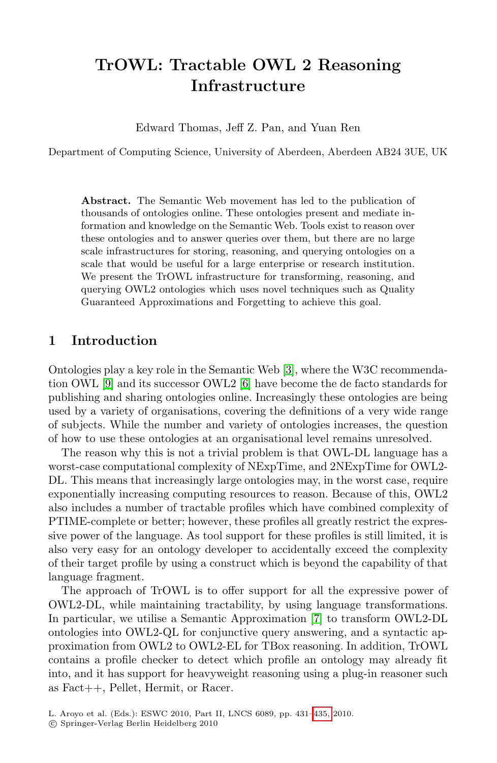# **TrOWL: Tractable OWL 2 Reasoning Infrastructure**

Edward Thomas, Jeff Z. Pan, and Yuan Ren

Department of Computing Science, University of Aberdeen, Aberdeen AB24 3UE, UK

**Abstract.** The Semantic Web movement has led to the publication of thousands of ontologies online. These ontologies present and mediate information and knowledge on the Semantic Web. Tools exist to reason over these ontologies and to answer queries over them, but there are no large scale infrastructures for storing, reasoning, and querying ontologies on a scale that would be us[efu](#page-4-0)l for a large enterprise or research institution. We present t[he](#page-4-1) TrOWL infrastructure for transforming, reasoning, and querying OWL2 ontologies which uses novel techniques such as Quality Guaranteed Approximations and Forgetting to achieve this goal.

#### **1 Introduction**

Ontologies play a key role in the Semantic Web [3], where the W3C recommendation OWL [9] and its successor OWL2 [6] have become the de facto standards for publishing and sharing ontologies online. Increasingly these ontologies are being used by a variety of organisations, covering the definitions of a very wide range of subjects. While the number and variety of ontologies increases, the question of how to use these ontologies at an organisational level remains unresolved.

The reason why this is not a trivial problem is that OWL-DL language has a worst-case computational complexity of NExpTime, and 2NExpTime for OWL2- DL. This means that increasingly large ontologies may, in the worst case, require exponentially increasing computing resources to reason. Because of this, OWL2 also includes a number of tractab[le](#page-4-2) profiles which have combined complexity of PTIME-complete or better; however, these profiles all greatly restrict the expressive power of the language. As tool support for these profiles is still limited, it is also very easy for an ontology developer to accidentally exceed the complexity of their target profile by using a construct which is beyond the capability of that language fragment.

The approach of TrOWL is to offer support for all the expressive power of OWL2-DL, while maintaining tr[actab](#page-4-3)ility, by using language transformations. In particular, we utilise a Semantic Approximation [7] to transform OWL2-DL ontologies into OWL2-QL for conjunctive query answering, and a syntactic approximation from OWL2 to OWL2-EL for TBox reasoning. In addition, TrOWL contains a profile checker to detect which profile an ontology may already fit into, and it has support for heavyweight reasoning using a plug-in reasoner such as Fact++, Pellet, Hermit, or Racer.

L. Aroyo et al. (Eds.): ESWC 2010, Part II, LNCS 6089, pp. 431–435, 2010.

<sup>-</sup>c Springer-Verlag Berlin Heidelberg 2010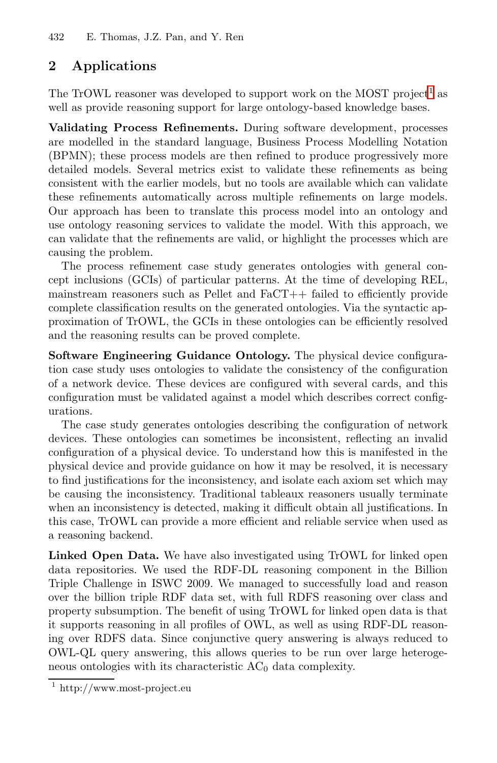432 E. Thomas, J.Z. Pan, and Y. Ren

## **2 Applications**

The TrOWL reasoner was developed to support work on the MOST project<sup>1</sup> as well as provide reasoning support for large ontology-based knowledge bases.

**Validating Process Refinements.** During software development, processes are modelled in the standard language, Business Process Modelling Notation (BPMN); these process models are then refined to produce progressively more detailed models. Several metrics exist to validate these refinements as being consistent with the earlier models, but no tools are available which can validate these refinements automatically across multiple refinements on large models. Our approach has been to translate this process model into an ontology and use ontology reasoning services to validate the model. With this approach, we can validate that the refinements are valid, or highlight the processes which are causing the problem.

The process refinement case study generates ontologies with general concept inclusions (GCIs) of particular patterns. At the time of developing REL, mainstream reasoners such as Pellet and FaCT++ failed to efficiently provide complete classification results on the generated ontologies. Via the syntactic approximation of TrOWL, the GCIs in these ontologies can be efficiently resolved and the reasoning results can be proved complete.

**Software Engineering Guidance Ontology.** The physical device configuration case study uses ontologies to validate the consistency of the configuration of a network device. These devices are configured with several cards, and this configuration must be validated against a model which describes correct configurations.

The case study generates ontologies describing the configuration of network devices. These ontologies can sometimes be inconsistent, reflecting an invalid configuration of a physical device. To understand how this is manifested in the physical device and provide guidance on how it may be resolved, it is necessary to find justifications for the inconsistency, and isolate each axiom set which may be causing the inconsistency. Traditional tableaux reasoners usually terminate when an inconsistency is detected, making it difficult obtain all justifications. In this case, TrOWL can provide a more efficient and reliable service when used as a reasoning backend.

**Linked Open Data.** We have also investigated using TrOWL for linked open data repositories. We used the RDF-DL reasoning component in the Billion Triple Challenge in ISWC 2009. We managed to successfully load and reason over the billion triple RDF data set, with full RDFS reasoning over class and property subsumption. The benefit of using TrOWL for linked open data is that it supports reasoning in all profiles of OWL, as well as using RDF-DL reasoning over RDFS data. Since conjunctive query answering is always reduced to OWL-QL query answering, this allows queries to be run over large heterogeneous ontologies with its characteristic  $AC_0$  data complexity.

<sup>1</sup> http://www.most-project.eu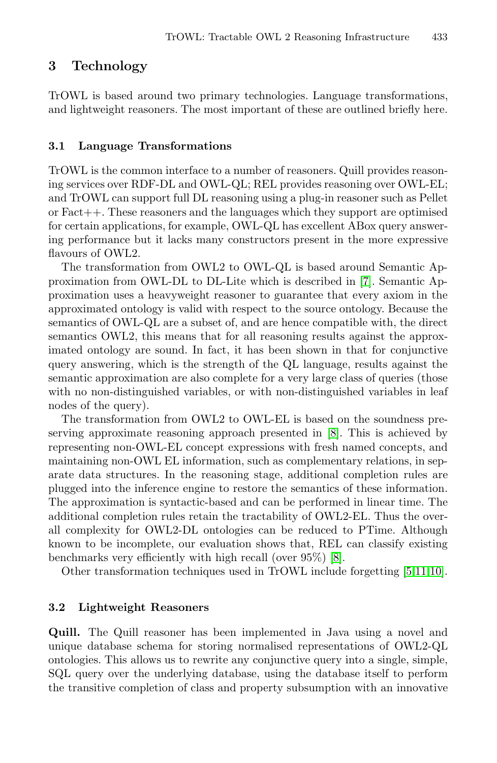# **3 Technology**

TrOWL is based around two primary technologies. Language transformations, and lightweight reasoners. The most important of these are outlined briefly here.

#### **3.1 Language Transformations**

TrOWL is the common interface to a numb[er](#page-4-2) of reasoners. Quill provides reasoning services over RDF-DL and OWL-QL; REL provides reasoning over OWL-EL; and TrOWL can support full DL reasoning using a plug-in reasoner such as Pellet or Fact++. These reasoners and the languages which they support are optimised for certain applications, for example, OWL-QL has excellent ABox query answering performance but it lacks many constructors present in the more expressive flavours of OWL2.

The transformation from OWL2 to OWL-QL is based around Semantic Approximation from OWL-DL to DL-Lite which is described in [7]. Semantic Approximation uses a heavyweight reasoner to guarantee that every axiom in the approximated ontology is valid with respect to the source ontology. Because the semantics of OWL-QL are a subset o[f, a](#page-4-4)nd are hence compatible with, the direct semantics OWL2, this means that for all reasoning results against the approximated ontology are sound. In fact, it has been shown in that for conjunctive query answering, which is the strength of the QL language, results against the semantic approximation are also complete for a very large class of queries (those with no non-distinguished variables, or with non-distinguished variables in leaf nodes of the query).

The transformation from OWL2 to OWL-EL is based on the soundness preserving approximate reasoning approach presented in [8]. This is achieved by representing non-OWL-EL concept e[xp](#page-4-4)ressions with fresh named concepts, and maintaining non-OWL EL information, such as com[pl](#page-4-5)[em](#page-4-6)[enta](#page-4-7)ry relations, in separate data structures. In the reasoning stage, additional completion rules are plugged into the inference engine to restore the semantics of these information. The approximation is syntactic-based and can be performed in linear time. The additional completion rules retain the tractability of OWL2-EL. Thus the overall complexity for OWL2-DL ontologies can be reduced to PTime. Although known to be incomplete, our evaluation shows that, REL can classify existing benchmarks very efficiently with high recall (over 95%) [8].

Other transformation techniques used in TrOWL include forgetting [5,11,10].

#### **3.2 Lightweight Reasoners**

**Quill.** The Quill reasoner has been implemented in Java using a novel and unique database schema for storing normalised representations of OWL2-QL ontologies. This allows us to rewrite any conjunctive query into a single, simple, SQL query over the underlying database, using the database itself to perform the transitive completion of class and property subsumption with an innovative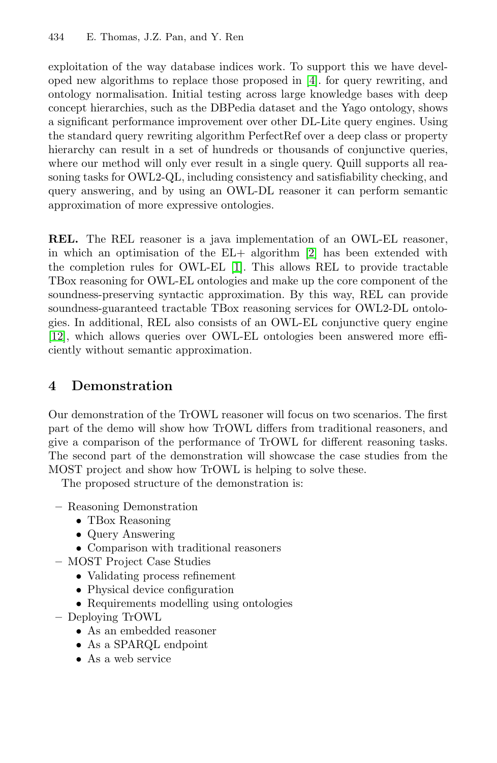#### 434 E. Thomas, J.Z. Pan, and Y. Ren

exploitation of the way database indices work. To support this we have developed new algorithms to replace those proposed in [4]. for query rewriting, and ontology normalisation. Initial testing across large knowledge bases with deep concept hierarchies, such as the DBPedia dataset and the Yago ontology, shows a significant performance improvement over other DL-Lite query engines. Using the standard query rewriting algorithm PerfectRef over a deep class or property hierarchy can result in a set of [hu](#page-4-8)ndreds or thousands of conjunctive queries, where our metho[d](#page-4-9) [w](#page-4-9)ill only ever result in a single query. Quill supports all reasoning tasks for OWL2-QL, including consistency and satisfiability checking, and query answering, and by using an OWL-DL reasoner it can perform semantic approximation of more expressive ontologies.

**REL.** The REL reasoner is a java implementation of an OWL-EL reasoner, in which an optimisation of the EL+ algorithm [2] has been extended with the completion rules for OWL-EL [1]. This allows REL to provide tractable TBox reasoning for OWL-EL ontologies and make up the core component of the soundness-preserving syntactic approximation. By this way, REL can provide soundness-guaranteed tractable TBox reasoning services for OWL2-DL ontologies. In additional, REL also consists of an OWL-EL conjunctive query engine [12], which allows queries over OWL-EL ontologies been answered more efficiently without semantic approximation.

## **4 Demonstration**

Our demonstration of the TrOWL reasoner will focus on two scenarios. The first part of the demo will show how TrOWL differs from traditional reasoners, and give a comparison of the performance of TrOWL for different reasoning tasks. The second part of the demonstration will showcase the case studies from the MOST project and show how TrOWL is helping to solve these.

The proposed structure of the demonstration is:

- **–** Reasoning Demonstration
	- *•* TBox Reasoning
	- *•* Query Answering
	- *•* Comparison with traditional reasoners
- **–** MOST Project Case Studies
	- *•* Validating process refinement
	- *•* Physical device configuration
	- Requirements modelling using ontologies
- **–** Deploying TrOWL
	- *•* As an embedded reasoner
	- *•* As a SPARQL endpoint
	- *•* As a web service